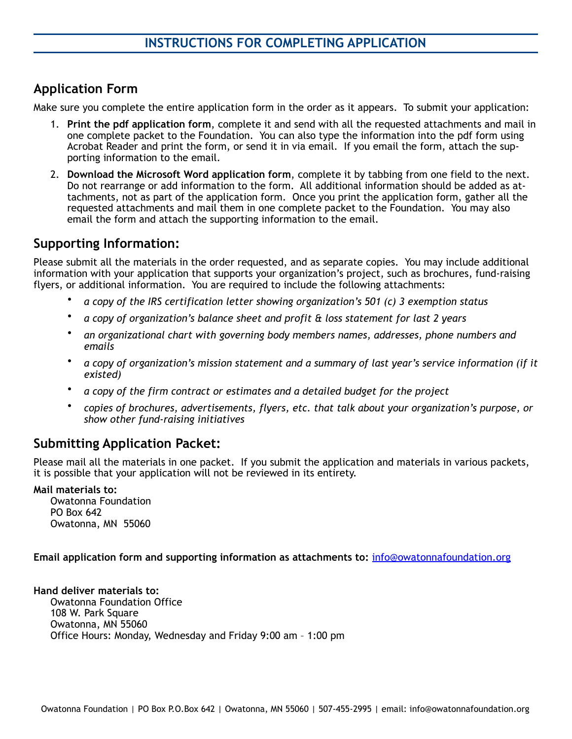# **Application Form**

Make sure you complete the entire application form in the order as it appears. To submit your application:

- 1. **Print the pdf application form**, complete it and send with all the requested attachments and mail in one complete packet to the Foundation. You can also type the information into the pdf form using Acrobat Reader and print the form, or send it in via email. If you email the form, attach the supporting information to the email.
- 2. **Download the Microsoft Word application form**, complete it by tabbing from one field to the next. Do not rearrange or add information to the form. All additional information should be added as attachments, not as part of the application form. Once you print the application form, gather all the requested attachments and mail them in one complete packet to the Foundation. You may also email the form and attach the supporting information to the email.

## **Supporting Information:**

Please submit all the materials in the order requested, and as separate copies. You may include additional information with your application that supports your organization's project, such as brochures, fund-raising flyers, or additional information. You are required to include the following attachments:

- *a copy of the IRS certification letter showing organization's 501 (c) 3 exemption status*
- *a copy of organization's balance sheet and profit & loss statement for last 2 years*
- *an organizational chart with governing body members names, addresses, phone numbers and emails*
- *a copy of organization's mission statement and a summary of last year's service information (if it existed)*
- *a copy of the firm contract or estimates and a detailed budget for the project*
- *copies of brochures, advertisements, flyers, etc. that talk about your organization's purpose, or show other fund-raising initiatives*

## **Submitting Application Packet:**

Please mail all the materials in one packet. If you submit the application and materials in various packets, it is possible that your application will not be reviewed in its entirety.

#### **Mail materials to:**

Owatonna Foundation PO Box 642 Owatonna, MN 55060

**Email application form and supporting information as attachments to:** [info@owatonnafoundation.org](mailto:info@owatonnafoundation.com)

**Hand deliver materials to:**  Owatonna Foundation Office 108 W. Park Square Owatonna, MN 55060 Office Hours: Monday, Wednesday and Friday 9:00 am – 1:00 pm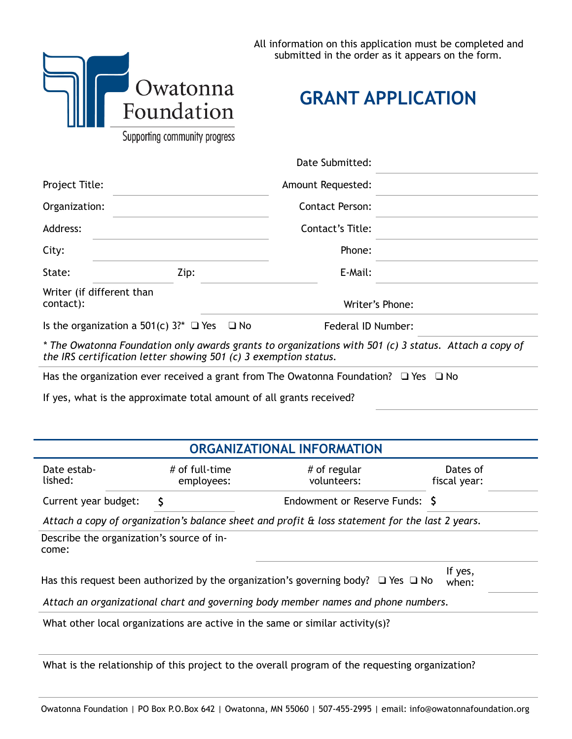

**GRANT APPLICATION**

Supporting community progress

|                                             |                                                                                                                                                                           | Date Submitted:                            |                 |
|---------------------------------------------|---------------------------------------------------------------------------------------------------------------------------------------------------------------------------|--------------------------------------------|-----------------|
| Project Title:<br>Organization:<br>Address: |                                                                                                                                                                           | Amount Requested:                          |                 |
|                                             |                                                                                                                                                                           | <b>Contact Person:</b><br>Contact's Title: |                 |
|                                             |                                                                                                                                                                           |                                            |                 |
| City:                                       |                                                                                                                                                                           | Phone:                                     |                 |
| State:                                      | Zip:                                                                                                                                                                      | E-Mail:                                    |                 |
| Writer (if different than<br>contact):      |                                                                                                                                                                           |                                            | Writer's Phone: |
|                                             | Is the organization a 501(c) $3?^*$ $\Box$ Yes $\Box$ No                                                                                                                  | Federal ID Number:                         |                 |
|                                             | * The Owatonna Foundation only awards grants to organizations with 501 (c) 3 status. Attach a copy of<br>the IRS certification letter showing 501 (c) 3 exemption status. |                                            |                 |
|                                             | Has the organization ever received a grant from The Owatonna Foundation? $\Box$ Yes $\Box$ No                                                                             |                                            |                 |

If yes, what is the approximate total amount of all grants received?

## **ORGANIZATIONAL INFORMATION**

| Date estab-<br>lished:                             | # of full-time<br>employees: | # of regular<br>volunteers:                                                                     | Dates of<br>fiscal year: |
|----------------------------------------------------|------------------------------|-------------------------------------------------------------------------------------------------|--------------------------|
| Current year budget:                               |                              | Endowment or Reserve Funds: \$                                                                  |                          |
|                                                    |                              | Attach a copy of organization's balance sheet and profit & loss statement for the last 2 years. |                          |
| Describe the organization's source of in-<br>come: |                              |                                                                                                 |                          |
|                                                    |                              | Has this request been authorized by the organization's governing body? $\Box$ Yes $\Box$ No     | If yes,<br>when:         |
|                                                    |                              | Attach an organizational chart and governing body member names and phone numbers.               |                          |

What other local organizations are active in the same or similar activity(s)?

What is the relationship of this project to the overall program of the requesting organization?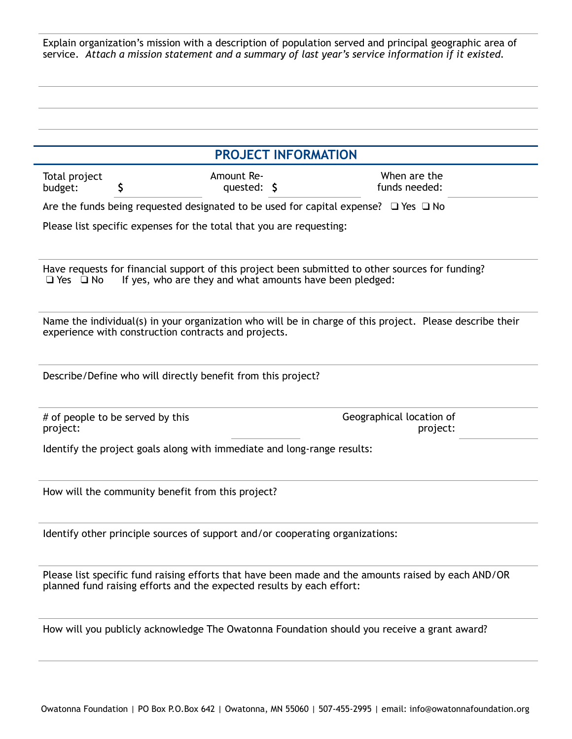Explain organization's mission with a description of population served and principal geographic area of service. *Attach a mission statement and a summary of last year's service information if it existed.*

|                          |                                                                       |                           | <b>PROJECT INFORMATION</b>                                                                                                                                   |
|--------------------------|-----------------------------------------------------------------------|---------------------------|--------------------------------------------------------------------------------------------------------------------------------------------------------------|
| Total project<br>budget: | S                                                                     | Amount Re-<br>quested: \$ | When are the<br>funds needed:                                                                                                                                |
|                          |                                                                       |                           | Are the funds being requested designated to be used for capital expense? $\Box$ Yes $\Box$ No                                                                |
|                          | Please list specific expenses for the total that you are requesting:  |                           |                                                                                                                                                              |
| $\Box$ Yes $\Box$ No     |                                                                       |                           | Have requests for financial support of this project been submitted to other sources for funding?<br>If yes, who are they and what amounts have been pledged: |
|                          | experience with construction contracts and projects.                  |                           | Name the individual(s) in your organization who will be in charge of this project. Please describe their                                                     |
|                          | Describe/Define who will directly benefit from this project?          |                           |                                                                                                                                                              |
| project:                 | # of people to be served by this                                      |                           | Geographical location of<br>project:                                                                                                                         |
|                          |                                                                       |                           | Identify the project goals along with immediate and long-range results:                                                                                      |
|                          | How will the community benefit from this project?                     |                           |                                                                                                                                                              |
|                          |                                                                       |                           | Identify other principle sources of support and/or cooperating organizations:                                                                                |
|                          | planned fund raising efforts and the expected results by each effort: |                           | Please list specific fund raising efforts that have been made and the amounts raised by each AND/OR                                                          |